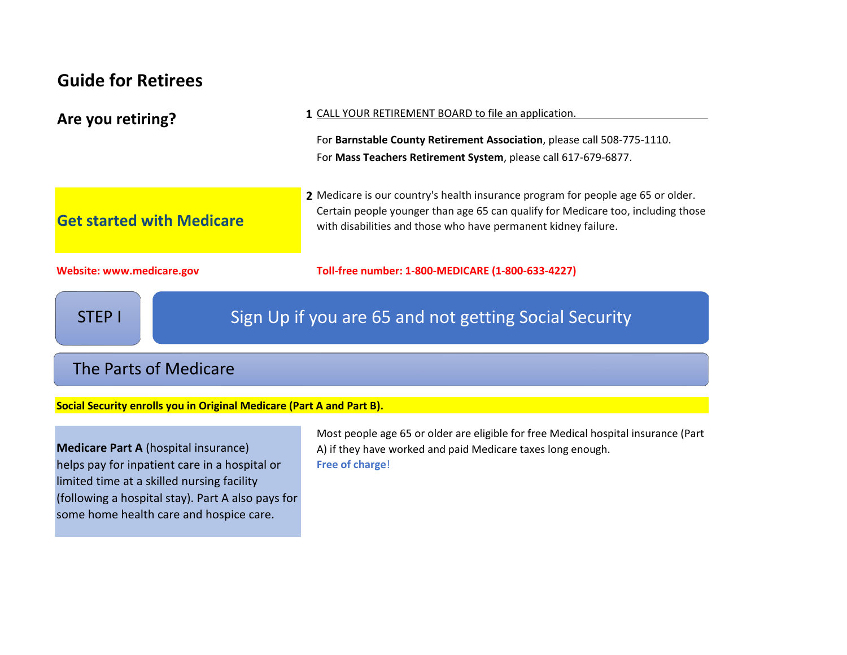### **Guide for Retirees**

| Are you retiring?                | 1 CALL YOUR RETIREMENT BOARD to file an application.                                                                                                                                                                                   |
|----------------------------------|----------------------------------------------------------------------------------------------------------------------------------------------------------------------------------------------------------------------------------------|
|                                  | For Barnstable County Retirement Association, please call 508-775-1110.                                                                                                                                                                |
|                                  | For Mass Teachers Retirement System, please call 617-679-6877.                                                                                                                                                                         |
| <b>Get started with Medicare</b> | 2 Medicare is our country's health insurance program for people age 65 or older.<br>Certain people younger than age 65 can qualify for Medicare too, including those<br>with disabilities and those who have permanent kidney failure. |
| <b>Website: www.medicare.gov</b> | Toll-free number: 1-800-MEDICARE (1-800-633-4227)                                                                                                                                                                                      |
| <b>STEP I</b>                    | Sign Up if you are 65 and not getting Social Security                                                                                                                                                                                  |

# The Parts of Medicare

**Social Security enrolls you in Original Medicare (Part A and Part B).**

**Medicare Part A** (hospital insurance) helps pay for inpatient care in a hospital or limited time at a skilled nursing facility (following a hospital stay). Part A also pays for some home health care and hospice care.

Most people age 65 or older are eligible for free Medical hospital insurance (Part A) if they have worked and paid Medicare taxes long enough. **Free of charge**!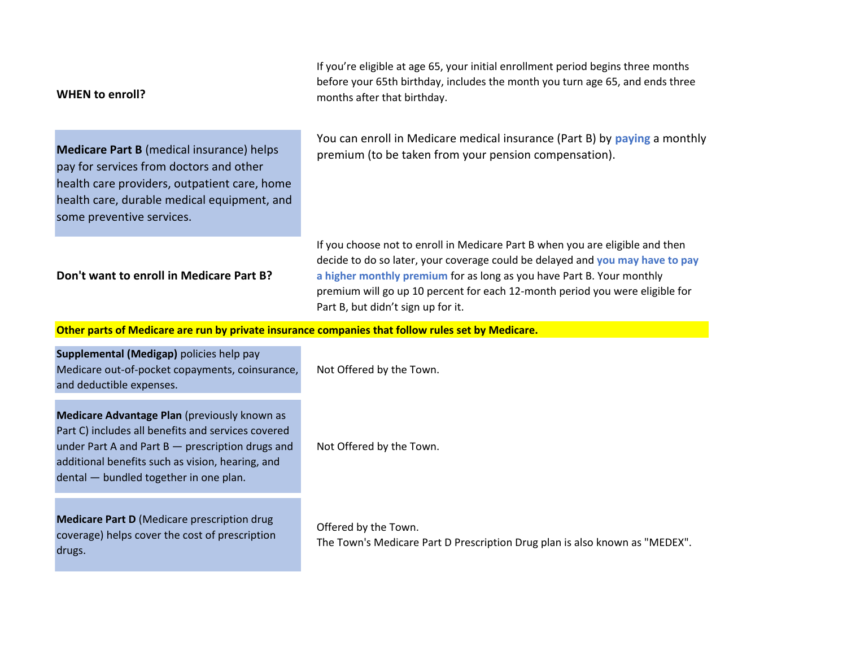| <b>WHEN to enroll?</b>                                                                                                                                                                                                                               | If you're eligible at age 65, your initial enrollment period begins three months<br>before your 65th birthday, includes the month you turn age 65, and ends three<br>months after that birthday.                                                                                                                                                              |
|------------------------------------------------------------------------------------------------------------------------------------------------------------------------------------------------------------------------------------------------------|---------------------------------------------------------------------------------------------------------------------------------------------------------------------------------------------------------------------------------------------------------------------------------------------------------------------------------------------------------------|
| <b>Medicare Part B</b> (medical insurance) helps<br>pay for services from doctors and other<br>health care providers, outpatient care, home<br>health care, durable medical equipment, and<br>some preventive services.                              | You can enroll in Medicare medical insurance (Part B) by paying a monthly<br>premium (to be taken from your pension compensation).                                                                                                                                                                                                                            |
| Don't want to enroll in Medicare Part B?                                                                                                                                                                                                             | If you choose not to enroll in Medicare Part B when you are eligible and then<br>decide to do so later, your coverage could be delayed and you may have to pay<br>a higher monthly premium for as long as you have Part B. Your monthly<br>premium will go up 10 percent for each 12-month period you were eligible for<br>Part B, but didn't sign up for it. |
| Other parts of Medicare are run by private insurance companies that follow rules set by Medicare.                                                                                                                                                    |                                                                                                                                                                                                                                                                                                                                                               |
| Supplemental (Medigap) policies help pay<br>Medicare out-of-pocket copayments, coinsurance,<br>and deductible expenses.                                                                                                                              | Not Offered by the Town.                                                                                                                                                                                                                                                                                                                                      |
| Medicare Advantage Plan (previously known as<br>Part C) includes all benefits and services covered<br>under Part A and Part B - prescription drugs and<br>additional benefits such as vision, hearing, and<br>dental - bundled together in one plan. | Not Offered by the Town.                                                                                                                                                                                                                                                                                                                                      |
| <b>Medicare Part D (Medicare prescription drug</b><br>coverage) helps cover the cost of prescription<br>drugs.                                                                                                                                       | Offered by the Town.<br>The Town's Medicare Part D Prescription Drug plan is also known as "MEDEX".                                                                                                                                                                                                                                                           |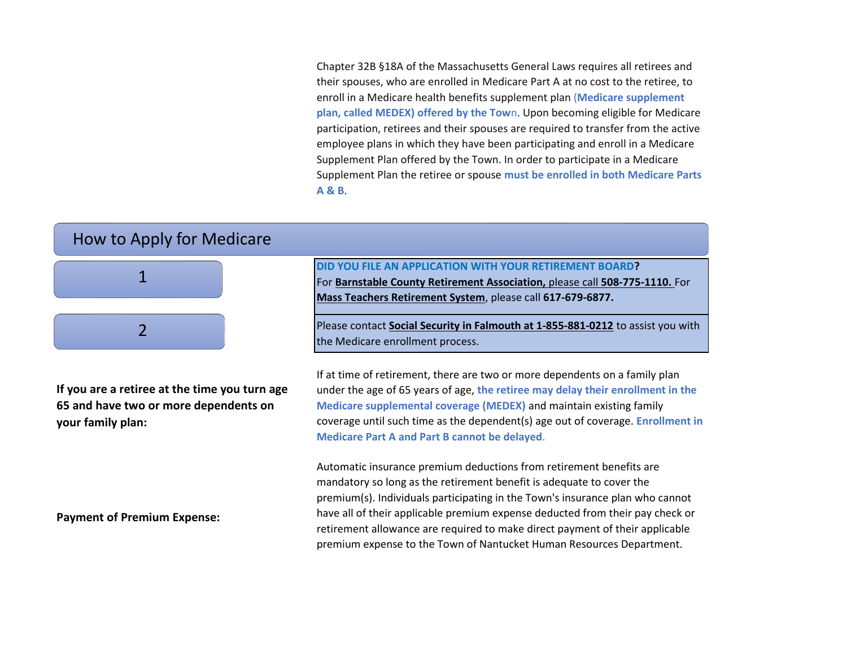Chapter 32B §18A of the Massachusetts General Laws requires all retirees and their spouses, who are enrolled in Medicare Part A at no cost to the retiree, to enroll in a Medicare health benefits supplement plan (**Medicare supplement plan, called MEDEX) offered by the Tow**n. Upon becoming eligible for Medicare participation, retirees and their spouses are required to transfer from the active employee plans in which they have been participating and enroll in a Medicare Supplement Plan offered by the Town. In order to participate in a Medicare Supplement Plan the retiree or spouse **must be enrolled in both Medicare Parts A & B**.

#### How to Apply for Medicare



**If you are a retiree at the time you turn age 65 and have two or more dependents on your family plan:** 

**Payment of Premium Expense:**

**DID YOU FILE AN APPLICATION WITH YOUR RETIREMENT BOARD?** 

For **Barnstable County Retirement Association,** please call **508-775-1110.** For **Mass Teachers Retirement System**, please call **617-679-6877.**

Please contact **Social Security in Falmouth at 1-855-881-0212** to assist you with the Medicare enrollment process.

If at time of retirement, there are two or more dependents on a family plan under the age of 65 years of age, **the retiree may delay their enrollment in the Medicare supplemental coverage (MEDEX)** and maintain existing family coverage until such time as the dependent(s) age out of coverage. **Enrollment in Medicare Part A and Part B cannot be delayed**.

Automatic insurance premium deductions from retirement benefits are mandatory so long as the retirement benefit is adequate to cover the premium(s). Individuals participating in the Town's insurance plan who cannot have all of their applicable premium expense deducted from their pay check or retirement allowance are required to make direct payment of their applicable premium expense to the Town of Nantucket Human Resources Department.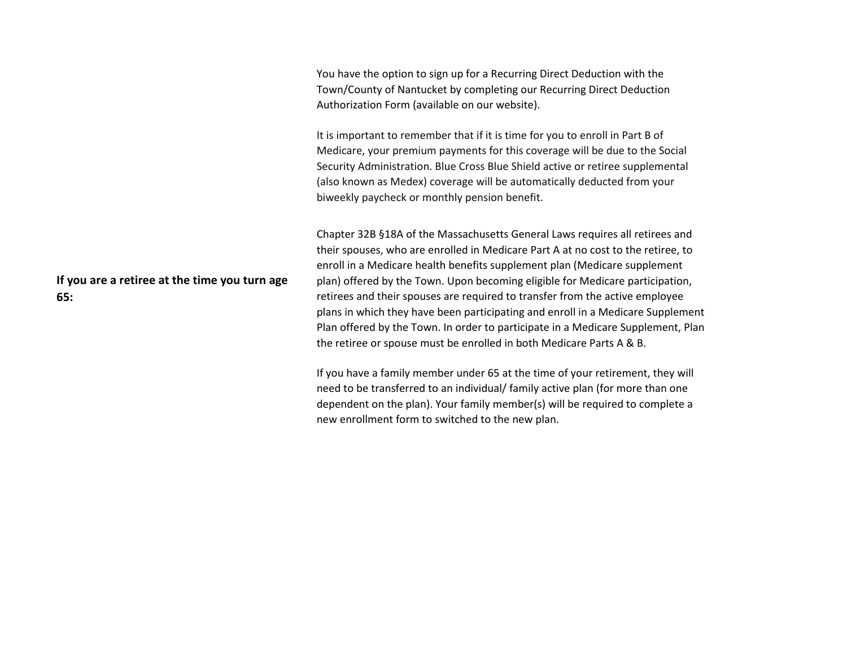You have the option to sign up for a Recurring Direct Deduction with the Town/County of Nantucket by completing our Recurring Direct Deduction Authorization Form (available on our website). It is important to remember that if it is time for you to enroll in Part B of Medicare, your premium payments for this coverage will be due to the Social Security Administration. Blue Cross Blue Shield active or retiree supplemental (also known as Medex) coverage will be automatically deducted from your biweekly paycheck or monthly pension benefit. Chapter 32B §18A of the Massachusetts General Laws requires all retirees and

> their spouses, who are enrolled in Medicare Part A at no cost to the retiree, to enroll in a Medicare health benefits supplement plan (Medicare supplement plan) offered by the Town. Upon becoming eligible for Medicare participation, retirees and their spouses are required to transfer from the active employee plans in which they have been participating and enroll in a Medicare Supplement Plan offered by the Town. In order to participate in a Medicare Supplement, Plan the retiree or spouse must be enrolled in both Medicare Parts A & B.

If you have a family member under 65 at the time of your retirement, they will need to be transferred to an individual/ family active plan (for more than one dependent on the plan). Your family member(s) will be required to complete a new enrollment form to switched to the new plan.

**If you are a retiree at the time you turn age 65:**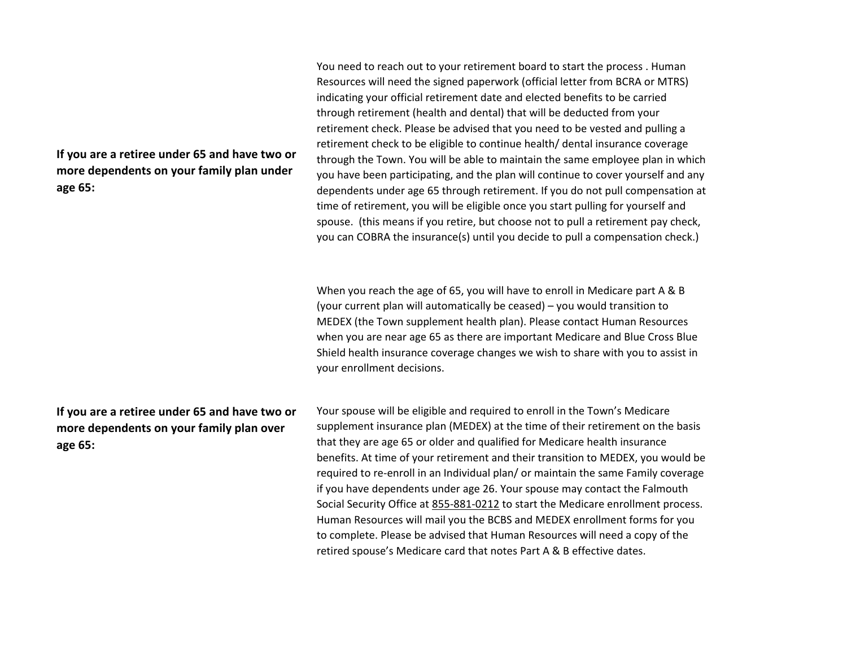**If you are a retiree under 65 and have two or more dependents on your family plan under age 65:**

**If you are a retiree under 65 and have two or more dependents on your family plan over age 65:**

You need to reach out to your retirement board to start the process . Human Resources will need the signed paperwork (official letter from BCRA or MTRS) indicating your official retirement date and elected benefits to be carried through retirement (health and dental) that will be deducted from your retirement check. Please be advised that you need to be vested and pulling a retirement check to be eligible to continue health/ dental insurance coverage through the Town. You will be able to maintain the same employee plan in which you have been participating, and the plan will continue to cover yourself and any dependents under age 65 through retirement. If you do not pull compensation at time of retirement, you will be eligible once you start pulling for yourself and spouse. (this means if you retire, but choose not to pull a retirement pay check, you can COBRA the insurance(s) until you decide to pull a compensation check.)

When you reach the age of 65, you will have to enroll in Medicare part A & B (your current plan will automatically be ceased) – you would transition to MEDEX (the Town supplement health plan). Please contact Human Resources when you are near age 65 as there are important Medicare and Blue Cross Blue Shield health insurance coverage changes we wish to share with you to assist in your enrollment decisions.

Your spouse will be eligible and required to enroll in the Town's Medicare supplement insurance plan (MEDEX) at the time of their retirement on the basis that they are age 65 or older and qualified for Medicare health insurance benefits. At time of your retirement and their transition to MEDEX, you would be required to re-enroll in an Individual plan/ or maintain the same Family coverage if you have dependents under age 26. Your spouse may contact the Falmouth Social Security Office at 855-881-0212 to start the Medicare enrollment process. Human Resources will mail you the BCBS and MEDEX enrollment forms for you to complete. Please be advised that Human Resources will need a copy of the retired spouse's Medicare card that notes Part A & B effective dates.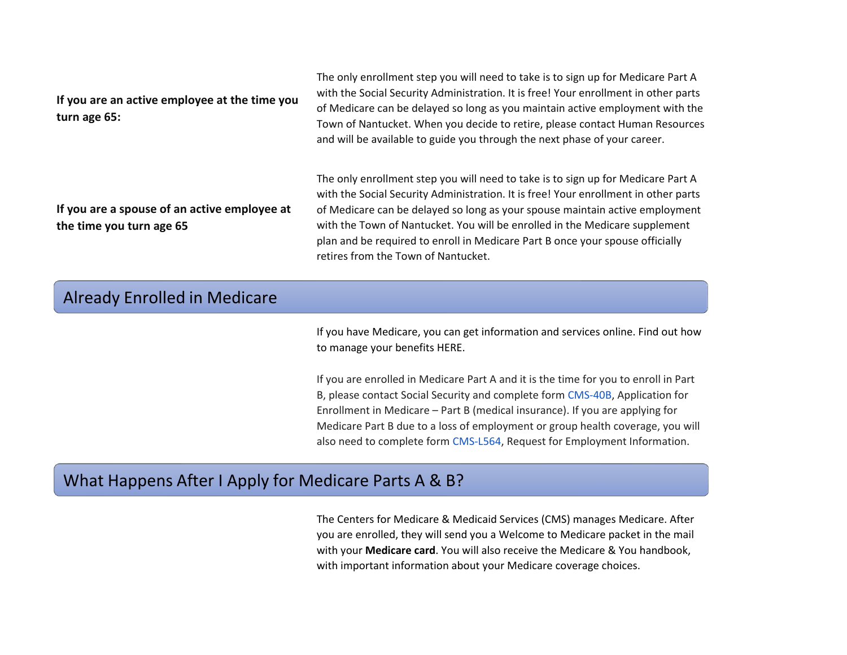| If you are an active employee at the time you<br>turn age 65: | The only enfollment step you will need to take is to sign up for iviedicare Part A<br>with the Social Security Administration. It is free! Your enrollment in other parts<br>of Medicare can be delayed so long as you maintain active employment with the<br>Town of Nantucket. When you decide to retire, please contact Human Resources<br>and will be available to guide you through the next phase of your career. |
|---------------------------------------------------------------|-------------------------------------------------------------------------------------------------------------------------------------------------------------------------------------------------------------------------------------------------------------------------------------------------------------------------------------------------------------------------------------------------------------------------|
| If you are a spouse of an active employee at                  | The only enrollment step you will need to take is to sign up for Medicare Part A<br>with the Social Security Administration. It is free! Your enrollment in other parts<br>of Medicare can be delayed so long as your spouse maintain active employment                                                                                                                                                                 |

#### **u** are a spouse of an active employe **the time you turn age 65**

of Medicare can be delayed so long as your spouse maintain active employment with the Town of Nantucket. You will be enrolled in the Medicare supplement plan and be required to enroll in Medicare Part B once your spouse officially retires from the Town of Nantucket.

The only enrollment step you will need to take is to sign up for Medicare Part A

#### Already Enrolled in Medicare

[If you have Medicare, you can get information and services online. Find out how](https://www.ssa.gov/benefits/retirement/manage.html)  [to manage your benefits HERE.](https://www.ssa.gov/benefits/retirement/manage.html)

If you are enrolled in Medicare Part A and it is the time for you to enroll in Part B, please contact Social Security and complete form CMS-40B, Application for Enrollment in Medicare – Part B (medical insurance). If you are applying for Medicare Part B due to a loss of employment or group health coverage, you will also need to complete form CMS-L564, Request for Employment Information.

## What Happens After I Apply for Medicare Parts A & B?

[The Centers for Medicare & Medicaid Services \(CMS\) manages Medicare. After](https://www.medicare.gov/forms-help-resources/mail-you-get-about-medicare)  [you are enrolled, they will send you a Welcome to Medicare packet in the mail](https://www.medicare.gov/forms-help-resources/mail-you-get-about-medicare)  [with your](https://www.medicare.gov/forms-help-resources/mail-you-get-about-medicare) **[Medicare card](https://www.medicare.gov/forms-help-resources/mail-you-get-about-medicare)**[. You will also receive the Medicare & You handbook,](https://www.medicare.gov/forms-help-resources/mail-you-get-about-medicare)  [with important information about your Medicare coverage choices.](https://www.medicare.gov/forms-help-resources/mail-you-get-about-medicare)